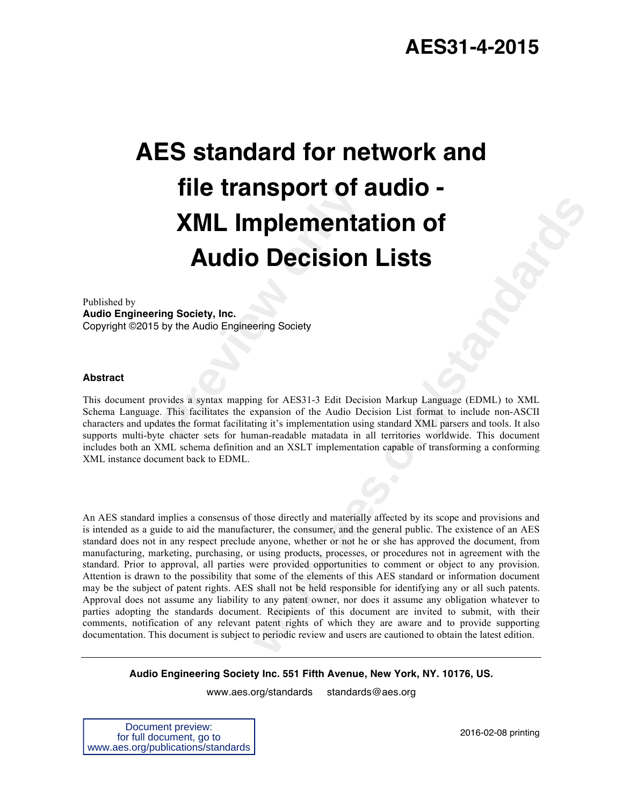# **Prime Transport of a Million Script Service Control Control Control Control Control Control Control Control Control Control Control Control Control Control Control Control Control Control ates the format facilitating it's AES standard for network and file transport of audio - XML Implementation of Audio Decision Lists**

Published by **Audio Engineering Society, Inc.** Copyright ©2015 by the Audio Engineering Society

### **Abstract**

This document provides a syntax mapping for AES31-3 Edit Decision Markup Language (EDML) to XML Schema Language. This facilitates the expansion of the Audio Decision List format to include non-ASCII characters and updates the format facilitating it's implementation using standard XML parsers and tools. It also supports multi-byte chacter sets for human-readable matadata in all territories worldwide. This document includes both an XML schema definition and an XSLT implementation capable of transforming a conforming XML instance document back to EDML.

**Example 12 and 18 and 18 and 18 and 18 and 18 and 18 and 18 and 18 and 18 and 18 and 18 and 18 and 18 and 18 and 18 and 18 and 18 and 18 and 18 and 18 and 18 and 18 and 18 and 18 and 18 and 18 and 18 and 18 and 18 and 18** An AES standard implies a consensus of those directly and materially affected by its scope and provisions and is intended as a guide to aid the manufacturer, the consumer, and the general public. The existence of an AES standard does not in any respect preclude anyone, whether or not he or she has approved the document, from manufacturing, marketing, purchasing, or using products, processes, or procedures not in agreement with the standard. Prior to approval, all parties were provided opportunities to comment or object to any provision. Attention is drawn to the possibility that some of the elements of this AES standard or information document may be the subject of patent rights. AES shall not be held responsible for identifying any or all such patents. Approval does not assume any liability to any patent owner, nor does it assume any obligation whatever to parties adopting the standards document. Recipients of this document are invited to submit, with their comments, notification of any relevant patent rights of which they are aware and to provide supporting documentation. This document is subject to periodic review and users are cautioned to obtain the latest edition.

**Audio Engineering Society Inc. 551 Fifth Avenue, New York, NY. 10176, US.**

www.aes.org/standards standards@aes.org

Document preview: for full document, go to www.aes.org/publications/standards

2016-02-08 printing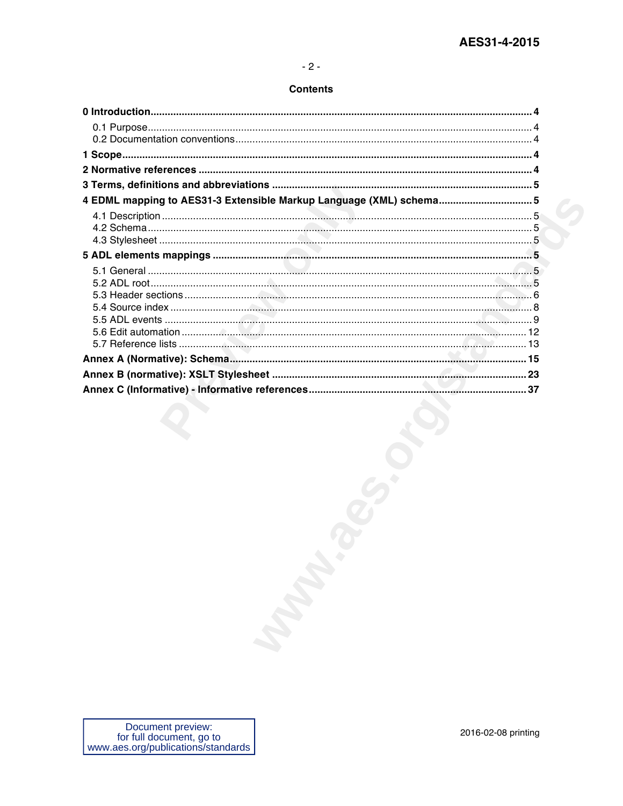### **Contents**

| 4 EDML mapping to AES31-3 Extensible Markup Language (XML) schema5 |                     |
|--------------------------------------------------------------------|---------------------|
|                                                                    |                     |
|                                                                    |                     |
|                                                                    |                     |
|                                                                    |                     |
|                                                                    |                     |
|                                                                    |                     |
|                                                                    |                     |
|                                                                    |                     |
|                                                                    |                     |
|                                                                    |                     |
|                                                                    |                     |
|                                                                    |                     |
|                                                                    |                     |
|                                                                    |                     |
|                                                                    |                     |
|                                                                    |                     |
|                                                                    |                     |
|                                                                    |                     |
|                                                                    |                     |
|                                                                    |                     |
|                                                                    |                     |
|                                                                    |                     |
|                                                                    |                     |
|                                                                    |                     |
|                                                                    |                     |
|                                                                    |                     |
|                                                                    |                     |
|                                                                    |                     |
|                                                                    |                     |
|                                                                    |                     |
|                                                                    |                     |
|                                                                    |                     |
|                                                                    |                     |
|                                                                    |                     |
| Document preview:<br>for full document, go to                      | 2016-02-08 printing |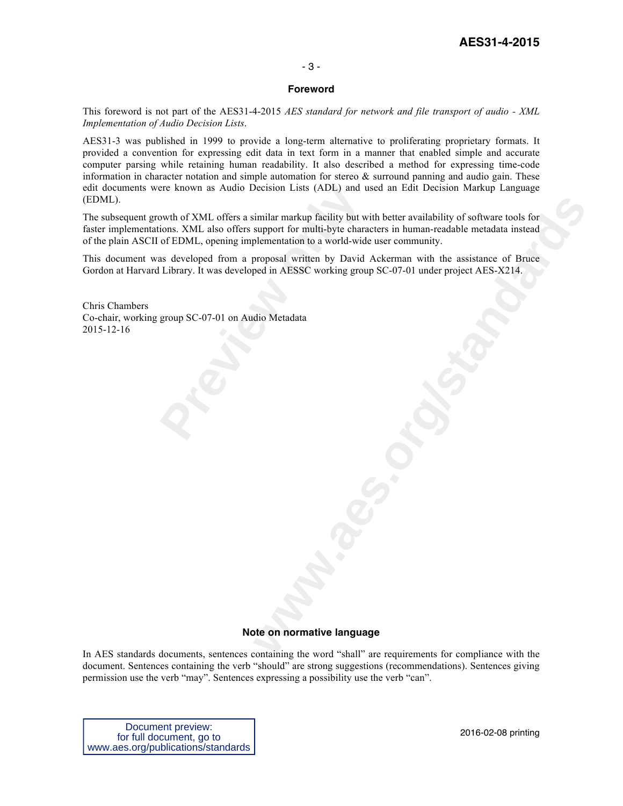# **AES31-4-2015**

### - 3 -

### **Foreword**

This foreword is not part of the AES31-4-2015 *AES standard for network and file transport of audio - XML Implementation of Audio Decision Lists*.

AES31-3 was published in 1999 to provide a long-term alternative to proliferating proprietary formats. It provided a convention for expressing edit data in text form in a manner that enabled simple and accurate computer parsing while retaining human readability. It also described a method for expressing time-code information in character notation and simple automation for stereo  $\&$  surround panning and audio gain. These edit documents were known as Audio Decision Lists (ADL) and used an Edit Decision Markup Language (EDML).

ere known as Audio Decision Lists (ADL) and u<br>
bowth of XML offers a similar markup facility but w<br>
ions. XML also offers support for multi-byte chara<br>
of EDML, opening implementation to a world-wid-<br>
as developed from a p imilar markup facility but with better availability of software tools for<br>support for multi-byte characters in human-readable metadata instead<br>pelementation to a world-wide user community.<br>pela AESSC working group SC-07-01 The subsequent growth of XML offers a similar markup facility but with better availability of software tools for faster implementations. XML also offers support for multi-byte characters in human-readable metadata instead of the plain ASCII of EDML, opening implementation to a world-wide user community.

This document was developed from a proposal written by David Ackerman with the assistance of Bruce Gordon at Harvard Library. It was developed in AESSC working group SC-07-01 under project AES-X214.

Chris Chambers Co-chair, working group SC-07-01 on Audio Metadata 2015-12-16

### **Note on normative language**

In AES standards documents, sentences containing the word "shall" are requirements for compliance with the document. Sentences containing the verb "should" are strong suggestions (recommendations). Sentences giving permission use the verb "may". Sentences expressing a possibility use the verb "can".

Document preview: for full document, go to www.aes.org/publications/standards

2016-02-08 printing